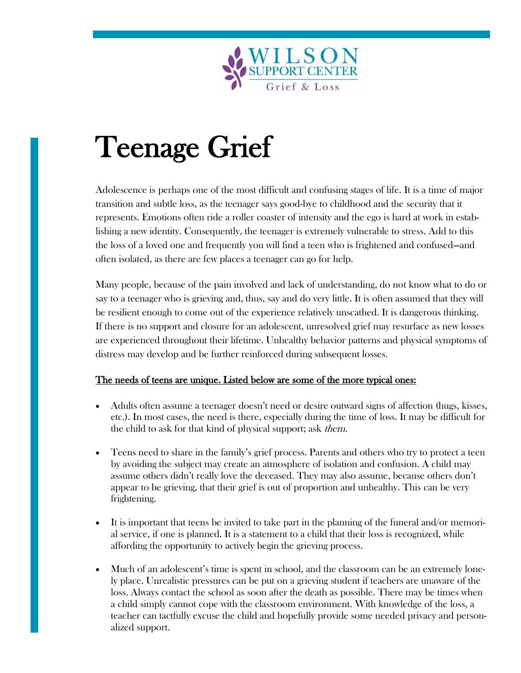

# Teenage Grief

Adolescence is perhaps one of the most difficult and confusing stages of life. It is a time of major transition and subtle loss, as the teenager says good-bye to childhood and the security that it represents. Emotions often ride a roller coaster of intensity and the ego is hard at work in establishing a new identity. Consequently, the teenager is extremely vulnerable to stress. Add to this the loss of a loved one and frequently you will find a teen who is frightened and confused—and often isolated, as there are few places a teenager can go for help.

Many people, because of the pain involved and lack of understanding, do not know what to do or say to a teenager who is grieving and, thus, say and do very little. It is often assumed that they will be resilient enough to come out of the experience relatively unscathed. It is dangerous thinking. If there is no support and closure for an adolescent, unresolved grief may resurface as new losses are experienced throughout their lifetime. Unhealthy behavior patterns and physical symptoms of distress may develop and be further reinforced during subsequent losses.

# The needs of teens are unique. Listed below are some of the more typical ones:

- Adults often assume a teenager doesn't need or desire outward signs of affection (hugs, kisses, etc.). In most cases, the need is there, especially during the time of loss. It may be difficult for the child to ask for that kind of physical support; ask *them*.
- Teens need to share in the family's grief process. Parents and others who try to protect a teen by avoiding the subject may create an atmosphere of isolation and confusion. A child may assume others didn't really love the deceased. They may also assume, because others don't appear to be grieving, that their grief is out of proportion and unhealthy. This can be very frightening.
- It is important that teens be invited to take part in the planning of the funeral and/or memorial service, if one is planned. It is a statement to a child that their loss is recognized, while affording the opportunity to actively begin the grieving process.
- Much of an adolescent's time is spent in school, and the classroom can be an extremely lonely place. Unrealistic pressures can be put on a grieving student if teachers are unaware of the loss. Always contact the school as soon after the death as possible. There may be times when a child simply cannot cope with the classroom environment. With knowledge of the loss, a teacher can tactfully excuse the child and hopefully provide some needed privacy and personalized support.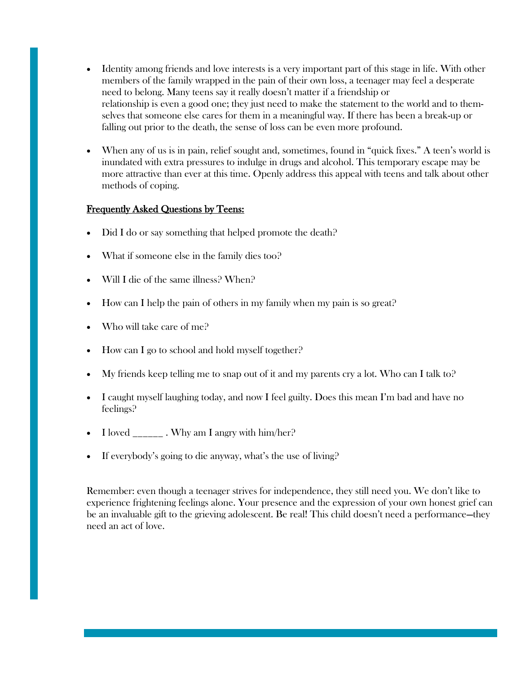- Identity among friends and love interests is a very important part of this stage in life. With other members of the family wrapped in the pain of their own loss, a teenager may feel a desperate need to belong. Many teens say it really doesn't matter if a friendship or relationship is even a good one; they just need to make the statement to the world and to themselves that someone else cares for them in a meaningful way. If there has been a break-up or falling out prior to the death, the sense of loss can be even more profound.
- When any of us is in pain, relief sought and, sometimes, found in "quick fixes." A teen's world is inundated with extra pressures to indulge in drugs and alcohol. This temporary escape may be more attractive than ever at this time. Openly address this appeal with teens and talk about other methods of coping.

# Frequently Asked Questions by Teens:

- Did I do or say something that helped promote the death?
- What if someone else in the family dies too?
- Will I die of the same illness? When?
- How can I help the pain of others in my family when my pain is so great?
- Who will take care of me?
- How can I go to school and hold myself together?
- My friends keep telling me to snap out of it and my parents cry a lot. Who can I talk to?
- I caught myself laughing today, and now I feel guilty. Does this mean I'm bad and have no feelings?
- I loved  $\frac{1}{2}$ . Why am I angry with him/her?
- If everybody's going to die anyway, what's the use of living?

Remember: even though a teenager strives for independence, they still need you. We don't like to experience frightening feelings alone. Your presence and the expression of your own honest grief can be an invaluable gift to the grieving adolescent. Be real! This child doesn't need a performance—they need an act of love.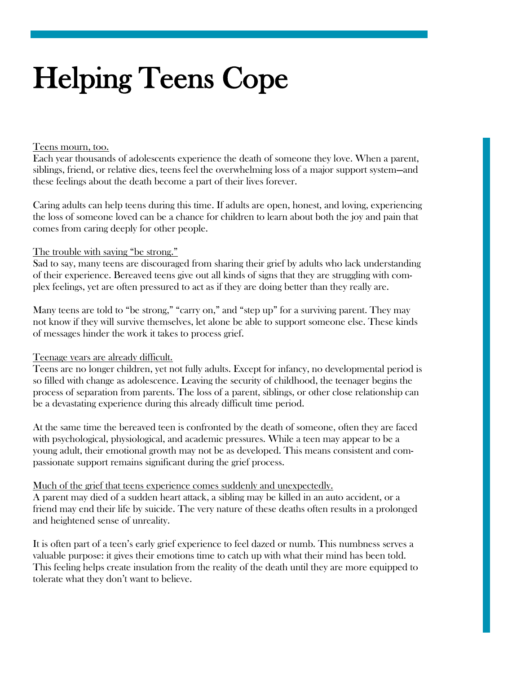# Helping Teens Cope

### Teens mourn, too.

Each year thousands of adolescents experience the death of someone they love. When a parent, siblings, friend, or relative dies, teens feel the overwhelming loss of a major support system—and these feelings about the death become a part of their lives forever.

Caring adults can help teens during this time. If adults are open, honest, and loving, experiencing the loss of someone loved can be a chance for children to learn about both the joy and pain that comes from caring deeply for other people.

# The trouble with saying "be strong."

Sad to say, many teens are discouraged from sharing their grief by adults who lack understanding of their experience. Bereaved teens give out all kinds of signs that they are struggling with complex feelings, yet are often pressured to act as if they are doing better than they really are.

Many teens are told to "be strong," "carry on," and "step up" for a surviving parent. They may not know if they will survive themselves, let alone be able to support someone else. These kinds of messages hinder the work it takes to process grief.

# Teenage years are already difficult.

Teens are no longer children, yet not fully adults. Except for infancy, no developmental period is so filled with change as adolescence. Leaving the security of childhood, the teenager begins the process of separation from parents. The loss of a parent, siblings, or other close relationship can be a devastating experience during this already difficult time period.

At the same time the bereaved teen is confronted by the death of someone, often they are faced with psychological, physiological, and academic pressures. While a teen may appear to be a young adult, their emotional growth may not be as developed. This means consistent and compassionate support remains significant during the grief process.

### Much of the grief that teens experience comes suddenly and unexpectedly.

A parent may died of a sudden heart attack, a sibling may be killed in an auto accident, or a friend may end their life by suicide. The very nature of these deaths often results in a prolonged and heightened sense of unreality.

It is often part of a teen's early grief experience to feel dazed or numb. This numbness serves a valuable purpose: it gives their emotions time to catch up with what their mind has been told. This feeling helps create insulation from the reality of the death until they are more equipped to tolerate what they don't want to believe.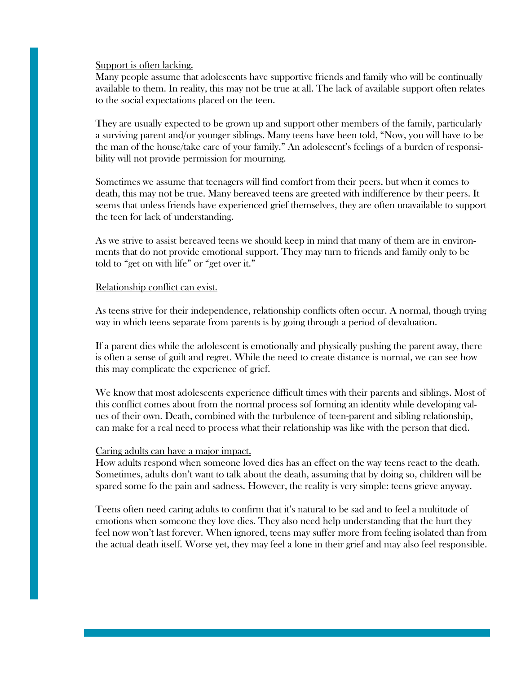Support is often lacking.

Many people assume that adolescents have supportive friends and family who will be continually available to them. In reality, this may not be true at all. The lack of available support often relates to the social expectations placed on the teen.

They are usually expected to be grown up and support other members of the family, particularly a surviving parent and/or younger siblings. Many teens have been told, "Now, you will have to be the man of the house/take care of your family." An adolescent's feelings of a burden of responsibility will not provide permission for mourning.

Sometimes we assume that teenagers will find comfort from their peers, but when it comes to death, this may not be true. Many bereaved teens are greeted with indifference by their peers. It seems that unless friends have experienced grief themselves, they are often unavailable to support the teen for lack of understanding.

As we strive to assist bereaved teens we should keep in mind that many of them are in environments that do not provide emotional support. They may turn to friends and family only to be told to "get on with life" or "get over it."

#### Relationship conflict can exist.

As teens strive for their independence, relationship conflicts often occur. A normal, though trying way in which teens separate from parents is by going through a period of devaluation.

If a parent dies while the adolescent is emotionally and physically pushing the parent away, there is often a sense of guilt and regret. While the need to create distance is normal, we can see how this may complicate the experience of grief.

We know that most adolescents experience difficult times with their parents and siblings. Most of this conflict comes about from the normal process sof forming an identity while developing values of their own. Death, combined with the turbulence of teen-parent and sibling relationship, can make for a real need to process what their relationship was like with the person that died.

#### Caring adults can have a major impact.

How adults respond when someone loved dies has an effect on the way teens react to the death. Sometimes, adults don't want to talk about the death, assuming that by doing so, children will be spared some fo the pain and sadness. However, the reality is very simple: teens grieve anyway.

Teens often need caring adults to confirm that it's natural to be sad and to feel a multitude of emotions when someone they love dies. They also need help understanding that the hurt they feel now won't last forever. When ignored, teens may suffer more from feeling isolated than from the actual death itself. Worse yet, they may feel a lone in their grief and may also feel responsible.